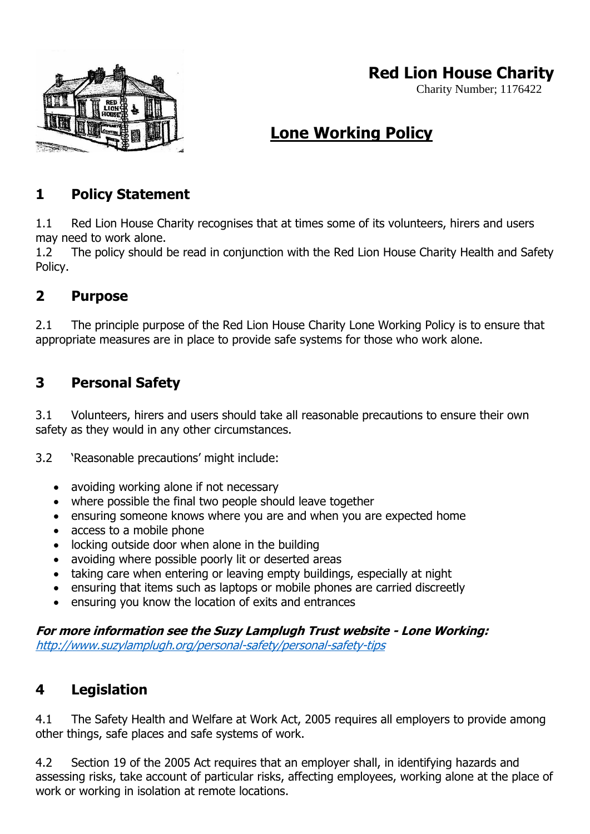

## **Red Lion House Charity**

Charity Number; 1176422

# **Lone Working Policy**

#### **1 Policy Statement**

1.1 Red Lion House Charity recognises that at times some of its volunteers, hirers and users may need to work alone.

1.2 The policy should be read in conjunction with the Red Lion House Charity Health and Safety Policy.

#### **2 Purpose**

2.1 The principle purpose of the Red Lion House Charity Lone Working Policy is to ensure that appropriate measures are in place to provide safe systems for those who work alone.

#### **3 Personal Safety**

3.1 Volunteers, hirers and users should take all reasonable precautions to ensure their own safety as they would in any other circumstances.

3.2 'Reasonable precautions' might include:

- avoiding working alone if not necessary
- where possible the final two people should leave together
- ensuring someone knows where you are and when you are expected home
- access to a mobile phone
- locking outside door when alone in the building
- avoiding where possible poorly lit or deserted areas
- taking care when entering or leaving empty buildings, especially at night
- ensuring that items such as laptops or mobile phones are carried discreetly
- ensuring you know the location of exits and entrances

**For more information see the Suzy Lamplugh Trust website - Lone Working:** <http://www.suzylamplugh.org/personal-safety/personal-safety-tips>

#### **4 Legislation**

4.1 The Safety Health and Welfare at Work Act, 2005 requires all employers to provide among other things, safe places and safe systems of work.

4.2 Section 19 of the 2005 Act requires that an employer shall, in identifying hazards and assessing risks, take account of particular risks, affecting employees, working alone at the place of work or working in isolation at remote locations.